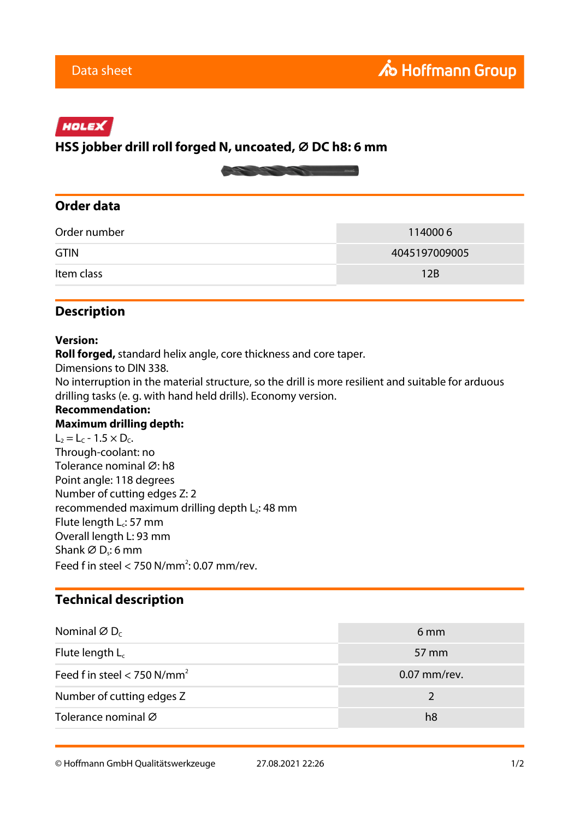# HOLEX

## **HSS jobber drill roll forged N, uncoated, ⌀ DC h8: 6 mm**



## **Order data**

| Order number | 1140006       |
|--------------|---------------|
| <b>GTIN</b>  | 4045197009005 |
| Item class   | 12B           |

# **Description**

#### **Version:**

**Roll forged,** standard helix angle, core thickness and core taper.

Dimensions to DIN 338.

No interruption in the material structure, so the drill is more resilient and suitable for arduous drilling tasks (e. g. with hand held drills). Economy version.

#### **Recommendation:**

#### **Maximum drilling depth:**

 $L_2 = L_C - 1.5 \times D_C$ . Through-coolant: no Tolerance nominal Ø: h8 Point angle: 118 degrees Number of cutting edges Z: 2 recommended maximum drilling depth L<sub>2</sub>: 48 mm Flute length  $L_c$ : 57 mm Overall length L: 93 mm Shank  $\varnothing$  D<sub>s</sub>: 6 mm Feed f in steel  $<$  750 N/mm<sup>2</sup>: 0.07 mm/rev.

## **Technical description**

| Nominal $\varnothing$ D <sub>c</sub>      | 6 mm         |
|-------------------------------------------|--------------|
| Flute length $L_c$                        | 57 mm        |
| Feed f in steel $<$ 750 N/mm <sup>2</sup> | 0.07 mm/rev. |
| Number of cutting edges Z                 |              |
| Tolerance nominal Ø                       | h8           |